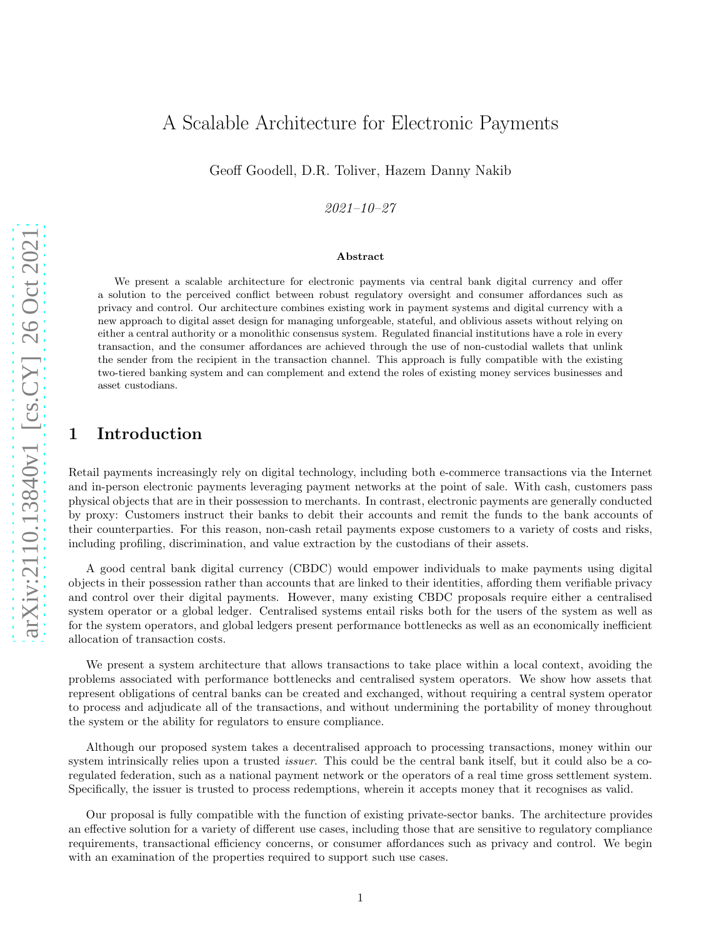# A Scalable Architecture for Electronic Payments

Geoff Goodell, D.R. Toliver, Hazem Danny Nakib

2021–10–27

#### Abstract

We present a scalable architecture for electronic payments via central bank digital currency and offer a solution to the perceived conflict between robust regulatory oversight and consumer affordances such as privacy and control. Our architecture combines existing work in payment systems and digital currency with a new approach to digital asset design for managing unforgeable, stateful, and oblivious assets without relying on either a central authority or a monolithic consensus system. Regulated financial institutions have a role in every transaction, and the consumer affordances are achieved through the use of non-custodial wallets that unlink the sender from the recipient in the transaction channel. This approach is fully compatible with the existing two-tiered banking system and can complement and extend the roles of existing money services businesses and asset custodians.

# 1 Introduction

Retail payments increasingly rely on digital technology, including both e-commerce transactions via the Internet and in-person electronic payments leveraging payment networks at the point of sale. With cash, customers pass physical objects that are in their possession to merchants. In contrast, electronic payments are generally conducted by proxy: Customers instruct their banks to debit their accounts and remit the funds to the bank accounts of their counterparties. For this reason, non-cash retail payments expose customers to a variety of costs and risks, including profiling, discrimination, and value extraction by the custodians of their assets.

A good central bank digital currency (CBDC) would empower individuals to make payments using digital objects in their possession rather than accounts that are linked to their identities, affording them verifiable privacy and control over their digital payments. However, many existing CBDC proposals require either a centralised system operator or a global ledger. Centralised systems entail risks both for the users of the system as well as for the system operators, and global ledgers present performance bottlenecks as well as an economically inefficient allocation of transaction costs.

We present a system architecture that allows transactions to take place within a local context, avoiding the problems associated with performance bottlenecks and centralised system operators. We show how assets that represent obligations of central banks can be created and exchanged, without requiring a central system operator to process and adjudicate all of the transactions, and without undermining the portability of money throughout the system or the ability for regulators to ensure compliance.

Although our proposed system takes a decentralised approach to processing transactions, money within our system intrinsically relies upon a trusted *issuer*. This could be the central bank itself, but it could also be a coregulated federation, such as a national payment network or the operators of a real time gross settlement system. Specifically, the issuer is trusted to process redemptions, wherein it accepts money that it recognises as valid.

Our proposal is fully compatible with the function of existing private-sector banks. The architecture provides an effective solution for a variety of different use cases, including those that are sensitive to regulatory compliance requirements, transactional efficiency concerns, or consumer affordances such as privacy and control. We begin with an examination of the properties required to support such use cases.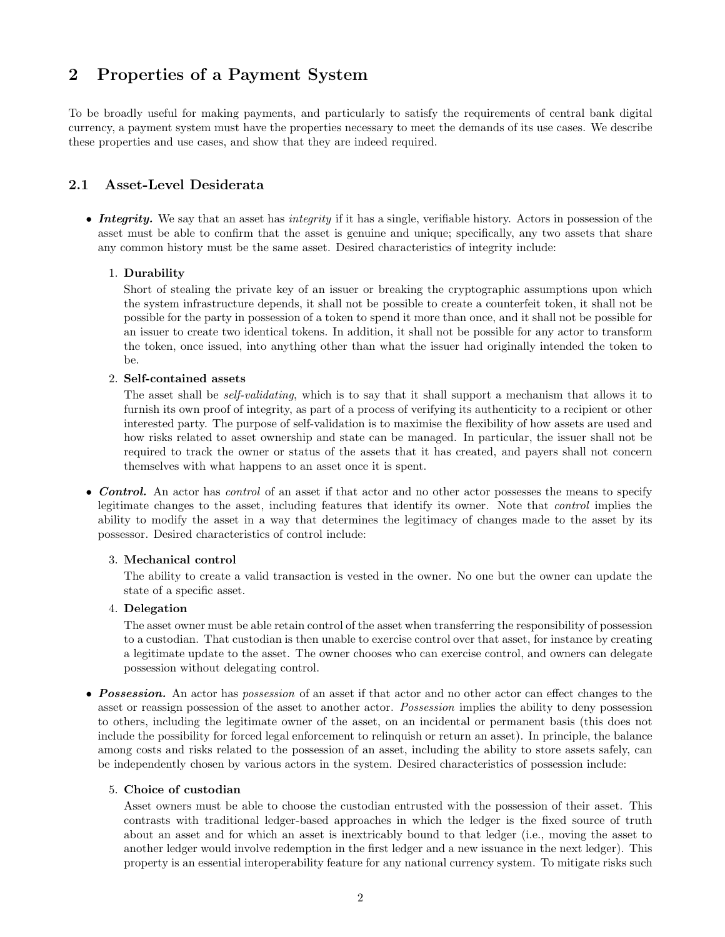# <span id="page-1-1"></span>2 Properties of a Payment System

To be broadly useful for making payments, and particularly to satisfy the requirements of central bank digital currency, a payment system must have the properties necessary to meet the demands of its use cases. We describe these properties and use cases, and show that they are indeed required.

## <span id="page-1-2"></span>2.1 Asset-Level Desiderata

<span id="page-1-0"></span>• Integrity. We say that an asset has integrity if it has a single, verifiable history. Actors in possession of the asset must be able to confirm that the asset is genuine and unique; specifically, any two assets that share any common history must be the same asset. Desired characteristics of integrity include:

### 1. Durability

Short of stealing the private key of an issuer or breaking the cryptographic assumptions upon which the system infrastructure depends, it shall not be possible to create a counterfeit token, it shall not be possible for the party in possession of a token to spend it more than once, and it shall not be possible for an issuer to create two identical tokens. In addition, it shall not be possible for any actor to transform the token, once issued, into anything other than what the issuer had originally intended the token to be.

### <span id="page-1-4"></span>2. Self-contained assets

The asset shall be *self-validating*, which is to say that it shall support a mechanism that allows it to furnish its own proof of integrity, as part of a process of verifying its authenticity to a recipient or other interested party. The purpose of self-validation is to maximise the flexibility of how assets are used and how risks related to asset ownership and state can be managed. In particular, the issuer shall not be required to track the owner or status of the assets that it has created, and payers shall not concern themselves with what happens to an asset once it is spent.

• Control. An actor has control of an asset if that actor and no other actor possesses the means to specify legitimate changes to the asset, including features that identify its owner. Note that control implies the ability to modify the asset in a way that determines the legitimacy of changes made to the asset by its possessor. Desired characteristics of control include:

### <span id="page-1-5"></span>3. Mechanical control

The ability to create a valid transaction is vested in the owner. No one but the owner can update the state of a specific asset.

### <span id="page-1-6"></span>4. Delegation

The asset owner must be able retain control of the asset when transferring the responsibility of possession to a custodian. That custodian is then unable to exercise control over that asset, for instance by creating a legitimate update to the asset. The owner chooses who can exercise control, and owners can delegate possession without delegating control.

• Possession. An actor has possession of an asset if that actor and no other actor can effect changes to the asset or reassign possession of the asset to another actor. Possession implies the ability to deny possession to others, including the legitimate owner of the asset, on an incidental or permanent basis (this does not include the possibility for forced legal enforcement to relinquish or return an asset). In principle, the balance among costs and risks related to the possession of an asset, including the ability to store assets safely, can be independently chosen by various actors in the system. Desired characteristics of possession include:

### <span id="page-1-3"></span>5. Choice of custodian

Asset owners must be able to choose the custodian entrusted with the possession of their asset. This contrasts with traditional ledger-based approaches in which the ledger is the fixed source of truth about an asset and for which an asset is inextricably bound to that ledger (i.e., moving the asset to another ledger would involve redemption in the first ledger and a new issuance in the next ledger). This property is an essential interoperability feature for any national currency system. To mitigate risks such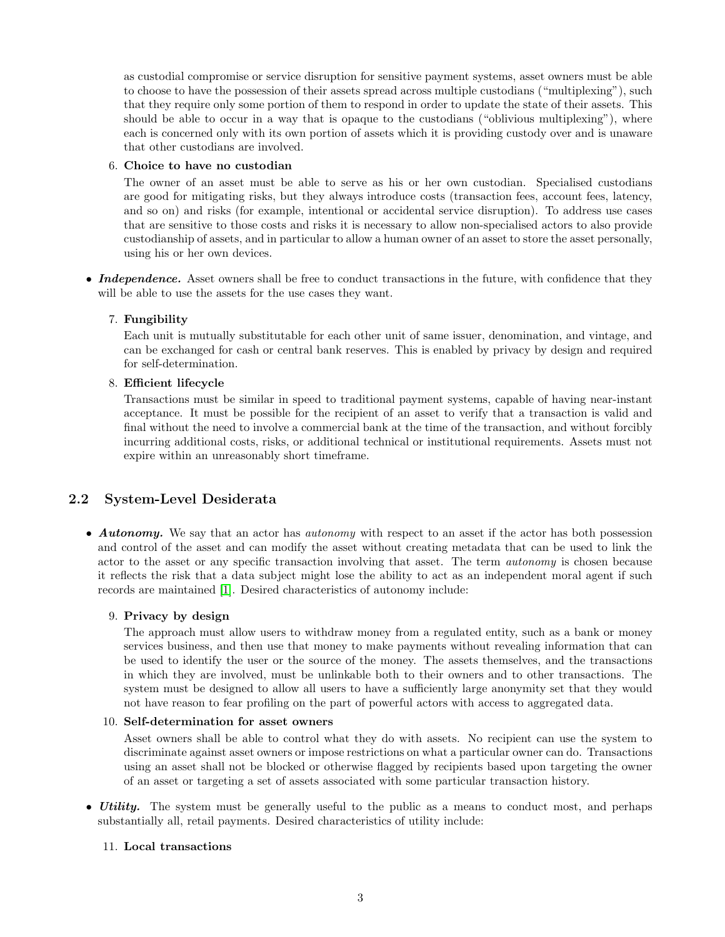as custodial compromise or service disruption for sensitive payment systems, asset owners must be able to choose to have the possession of their assets spread across multiple custodians ("multiplexing"), such that they require only some portion of them to respond in order to update the state of their assets. This should be able to occur in a way that is opaque to the custodians ("oblivious multiplexing"), where each is concerned only with its own portion of assets which it is providing custody over and is unaware that other custodians are involved.

### <span id="page-2-3"></span>6. Choice to have no custodian

The owner of an asset must be able to serve as his or her own custodian. Specialised custodians are good for mitigating risks, but they always introduce costs (transaction fees, account fees, latency, and so on) and risks (for example, intentional or accidental service disruption). To address use cases that are sensitive to those costs and risks it is necessary to allow non-specialised actors to also provide custodianship of assets, and in particular to allow a human owner of an asset to store the asset personally, using his or her own devices.

<span id="page-2-4"></span>• Independence. Asset owners shall be free to conduct transactions in the future, with confidence that they will be able to use the assets for the use cases they want.

### 7. Fungibility

Each unit is mutually substitutable for each other unit of same issuer, denomination, and vintage, and can be exchanged for cash or central bank reserves. This is enabled by privacy by design and required for self-determination.

### <span id="page-2-6"></span>8. Efficient lifecycle

Transactions must be similar in speed to traditional payment systems, capable of having near-instant acceptance. It must be possible for the recipient of an asset to verify that a transaction is valid and final without the need to involve a commercial bank at the time of the transaction, and without forcibly incurring additional costs, risks, or additional technical or institutional requirements. Assets must not expire within an unreasonably short timeframe.

## <span id="page-2-2"></span>2.2 System-Level Desiderata

• **Autonomy.** We say that an actor has *autonomy* with respect to an asset if the actor has both possession and control of the asset and can modify the asset without creating metadata that can be used to link the actor to the asset or any specific transaction involving that asset. The term autonomy is chosen because it reflects the risk that a data subject might lose the ability to act as an independent moral agent if such records are maintained [\[1\]](#page-18-0). Desired characteristics of autonomy include:

### <span id="page-2-0"></span>9. Privacy by design

The approach must allow users to withdraw money from a regulated entity, such as a bank or money services business, and then use that money to make payments without revealing information that can be used to identify the user or the source of the money. The assets themselves, and the transactions in which they are involved, must be unlinkable both to their owners and to other transactions. The system must be designed to allow all users to have a sufficiently large anonymity set that they would not have reason to fear profiling on the part of powerful actors with access to aggregated data.

### <span id="page-2-1"></span>10. Self-determination for asset owners

Asset owners shall be able to control what they do with assets. No recipient can use the system to discriminate against asset owners or impose restrictions on what a particular owner can do. Transactions using an asset shall not be blocked or otherwise flagged by recipients based upon targeting the owner of an asset or targeting a set of assets associated with some particular transaction history.

<span id="page-2-5"></span>• *Utility*. The system must be generally useful to the public as a means to conduct most, and perhaps substantially all, retail payments. Desired characteristics of utility include:

### 11. Local transactions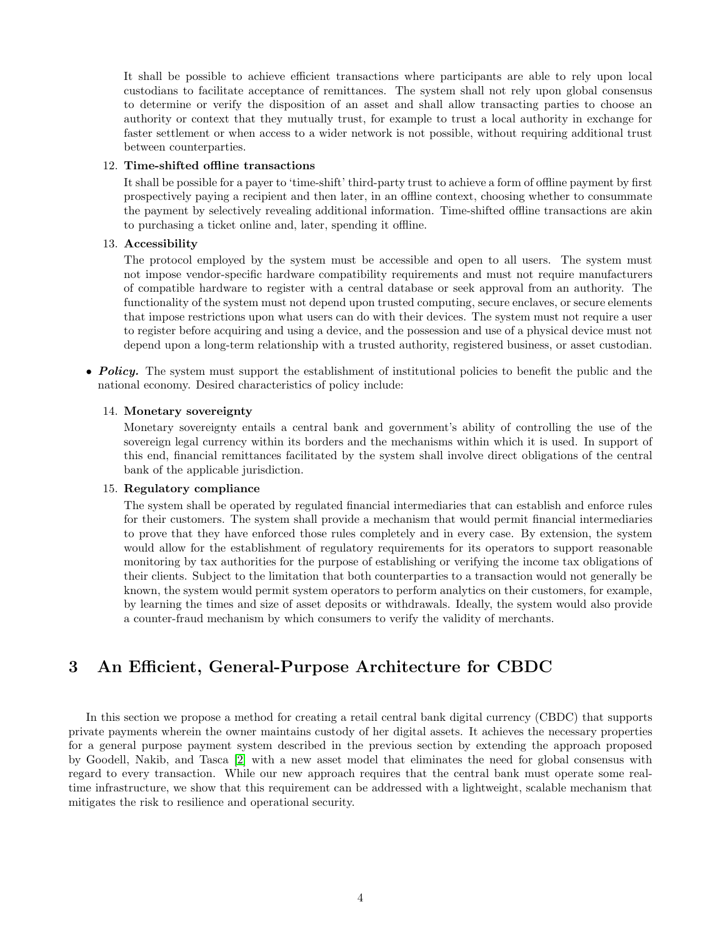It shall be possible to achieve efficient transactions where participants are able to rely upon local custodians to facilitate acceptance of remittances. The system shall not rely upon global consensus to determine or verify the disposition of an asset and shall allow transacting parties to choose an authority or context that they mutually trust, for example to trust a local authority in exchange for faster settlement or when access to a wider network is not possible, without requiring additional trust between counterparties.

#### <span id="page-3-3"></span>12. Time-shifted offline transactions

It shall be possible for a payer to 'time-shift' third-party trust to achieve a form of offline payment by first prospectively paying a recipient and then later, in an offline context, choosing whether to consummate the payment by selectively revealing additional information. Time-shifted offline transactions are akin to purchasing a ticket online and, later, spending it offline.

#### <span id="page-3-0"></span>13. Accessibility

The protocol employed by the system must be accessible and open to all users. The system must not impose vendor-specific hardware compatibility requirements and must not require manufacturers of compatible hardware to register with a central database or seek approval from an authority. The functionality of the system must not depend upon trusted computing, secure enclaves, or secure elements that impose restrictions upon what users can do with their devices. The system must not require a user to register before acquiring and using a device, and the possession and use of a physical device must not depend upon a long-term relationship with a trusted authority, registered business, or asset custodian.

<span id="page-3-1"></span>• **Policy.** The system must support the establishment of institutional policies to benefit the public and the national economy. Desired characteristics of policy include:

#### 14. Monetary sovereignty

Monetary sovereignty entails a central bank and government's ability of controlling the use of the sovereign legal currency within its borders and the mechanisms within which it is used. In support of this end, financial remittances facilitated by the system shall involve direct obligations of the central bank of the applicable jurisdiction.

#### <span id="page-3-2"></span>15. Regulatory compliance

The system shall be operated by regulated financial intermediaries that can establish and enforce rules for their customers. The system shall provide a mechanism that would permit financial intermediaries to prove that they have enforced those rules completely and in every case. By extension, the system would allow for the establishment of regulatory requirements for its operators to support reasonable monitoring by tax authorities for the purpose of establishing or verifying the income tax obligations of their clients. Subject to the limitation that both counterparties to a transaction would not generally be known, the system would permit system operators to perform analytics on their customers, for example, by learning the times and size of asset deposits or withdrawals. Ideally, the system would also provide a counter-fraud mechanism by which consumers to verify the validity of merchants.

# 3 An Efficient, General-Purpose Architecture for CBDC

In this section we propose a method for creating a retail central bank digital currency (CBDC) that supports private payments wherein the owner maintains custody of her digital assets. It achieves the necessary properties for a general purpose payment system described in the previous section by extending the approach proposed by Goodell, Nakib, and Tasca [\[2\]](#page-18-1) with a new asset model that eliminates the need for global consensus with regard to every transaction. While our new approach requires that the central bank must operate some realtime infrastructure, we show that this requirement can be addressed with a lightweight, scalable mechanism that mitigates the risk to resilience and operational security.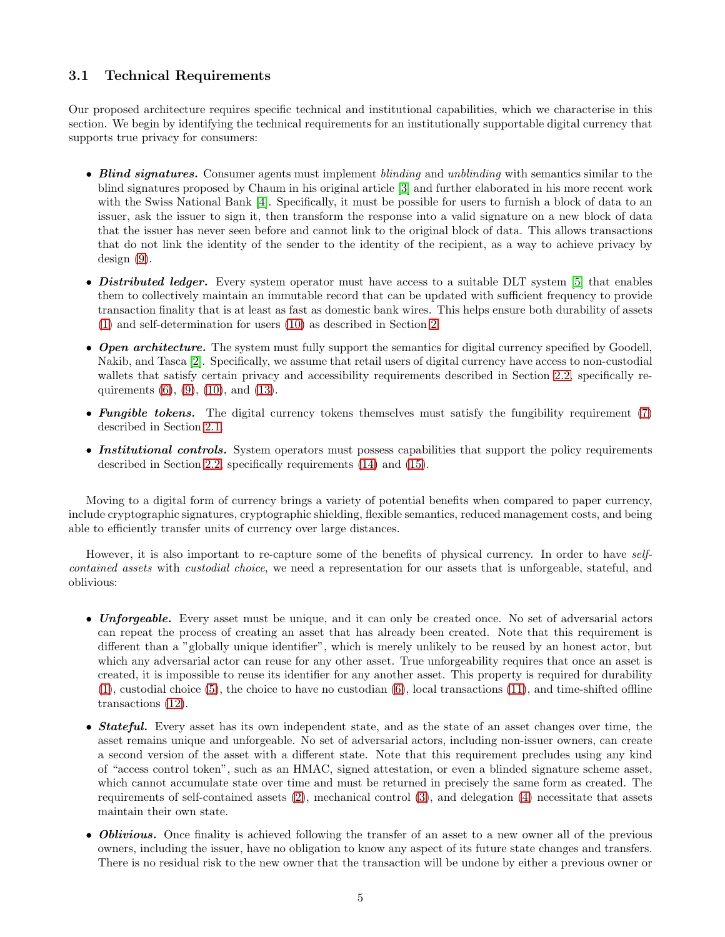# 3.1 Technical Requirements

Our proposed architecture requires specific technical and institutional capabilities, which we characterise in this section. We begin by identifying the technical requirements for an institutionally supportable digital currency that supports true privacy for consumers:

- Blind signatures. Consumer agents must implement blinding and unblinding with semantics similar to the blind signatures proposed by Chaum in his original article [\[3\]](#page-18-2) and further elaborated in his more recent work with the Swiss National Bank [\[4\]](#page-18-3). Specifically, it must be possible for users to furnish a block of data to an issuer, ask the issuer to sign it, then transform the response into a valid signature on a new block of data that the issuer has never seen before and cannot link to the original block of data. This allows transactions that do not link the identity of the sender to the identity of the recipient, as a way to achieve privacy by design [\(9\)](#page-2-0).
- Distributed ledger. Every system operator must have access to a suitable DLT system  $[5]$  that enables them to collectively maintain an immutable record that can be updated with sufficient frequency to provide transaction finality that is at least as fast as domestic bank wires. This helps ensure both durability of assets [\(1\)](#page-1-0) and self-determination for users [\(10\)](#page-2-1) as described in Section [2.](#page-1-1)
- Open architecture. The system must fully support the semantics for digital currency specified by Goodell, Nakib, and Tasca [\[2\]](#page-18-1). Specifically, we assume that retail users of digital currency have access to non-custodial wallets that satisfy certain privacy and accessibility requirements described in Section [2.2,](#page-2-2) specifically requirements [\(6\)](#page-2-3), [\(9\)](#page-2-0), [\(10\)](#page-2-1), and [\(13\)](#page-3-0).
- Fungible tokens. The digital currency tokens themselves must satisfy the fungibility requirement [\(7\)](#page-2-4) described in Section [2.1.](#page-1-2)
- Institutional controls. System operators must possess capabilities that support the policy requirements described in Section [2.2,](#page-2-2) specifically requirements [\(14\)](#page-3-1) and [\(15\)](#page-3-2).

Moving to a digital form of currency brings a variety of potential benefits when compared to paper currency, include cryptographic signatures, cryptographic shielding, flexible semantics, reduced management costs, and being able to efficiently transfer units of currency over large distances.

However, it is also important to re-capture some of the benefits of physical currency. In order to have selfcontained assets with custodial choice, we need a representation for our assets that is unforgeable, stateful, and oblivious:

- Unforgeable. Every asset must be unique, and it can only be created once. No set of adversarial actors can repeat the process of creating an asset that has already been created. Note that this requirement is different than a "globally unique identifier", which is merely unlikely to be reused by an honest actor, but which any adversarial actor can reuse for any other asset. True unforgeability requires that once an asset is created, it is impossible to reuse its identifier for any another asset. This property is required for durability  $(1)$ , custodial choice  $(5)$ , the choice to have no custodian  $(6)$ , local transactions  $(11)$ , and time-shifted offline transactions [\(12\)](#page-3-3).
- Stateful. Every asset has its own independent state, and as the state of an asset changes over time, the asset remains unique and unforgeable. No set of adversarial actors, including non-issuer owners, can create a second version of the asset with a different state. Note that this requirement precludes using any kind of "access control token", such as an HMAC, signed attestation, or even a blinded signature scheme asset, which cannot accumulate state over time and must be returned in precisely the same form as created. The requirements of self-contained assets [\(2\)](#page-1-4), mechanical control [\(3\)](#page-1-5), and delegation [\(4\)](#page-1-6) necessitate that assets maintain their own state.
- Oblivious. Once finality is achieved following the transfer of an asset to a new owner all of the previous owners, including the issuer, have no obligation to know any aspect of its future state changes and transfers. There is no residual risk to the new owner that the transaction will be undone by either a previous owner or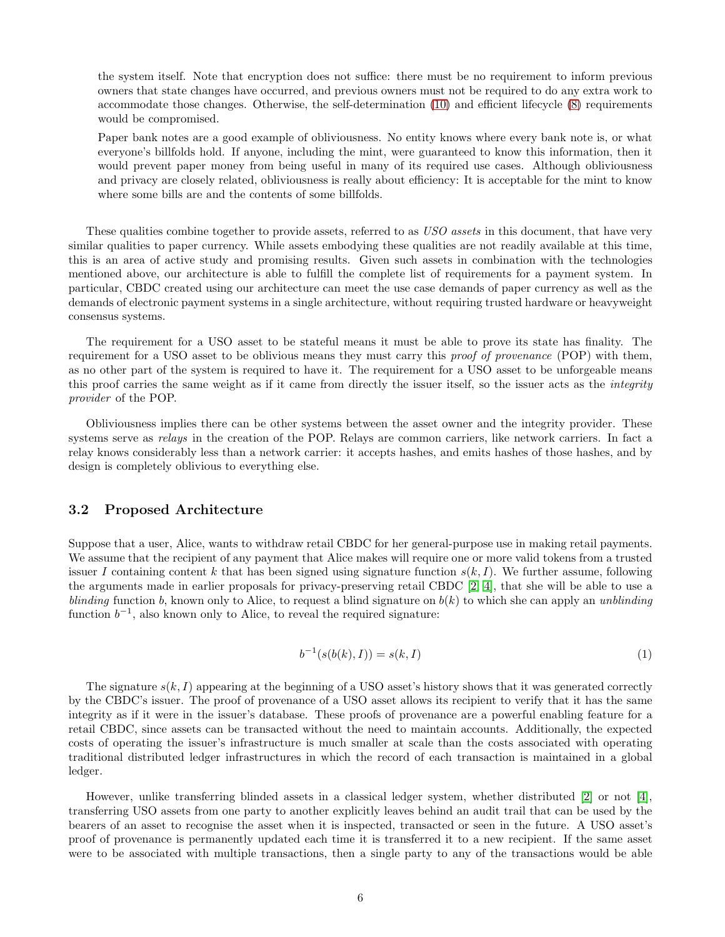the system itself. Note that encryption does not suffice: there must be no requirement to inform previous owners that state changes have occurred, and previous owners must not be required to do any extra work to accommodate those changes. Otherwise, the self-determination [\(10\)](#page-2-1) and efficient lifecycle [\(8\)](#page-2-6) requirements would be compromised.

Paper bank notes are a good example of obliviousness. No entity knows where every bank note is, or what everyone's billfolds hold. If anyone, including the mint, were guaranteed to know this information, then it would prevent paper money from being useful in many of its required use cases. Although obliviousness and privacy are closely related, obliviousness is really about efficiency: It is acceptable for the mint to know where some bills are and the contents of some billfolds.

These qualities combine together to provide assets, referred to as USO assets in this document, that have very similar qualities to paper currency. While assets embodying these qualities are not readily available at this time, this is an area of active study and promising results. Given such assets in combination with the technologies mentioned above, our architecture is able to fulfill the complete list of requirements for a payment system. In particular, CBDC created using our architecture can meet the use case demands of paper currency as well as the demands of electronic payment systems in a single architecture, without requiring trusted hardware or heavyweight consensus systems.

The requirement for a USO asset to be stateful means it must be able to prove its state has finality. The requirement for a USO asset to be oblivious means they must carry this *proof of provenance* (POP) with them, as no other part of the system is required to have it. The requirement for a USO asset to be unforgeable means this proof carries the same weight as if it came from directly the issuer itself, so the issuer acts as the integrity provider of the POP.

Obliviousness implies there can be other systems between the asset owner and the integrity provider. These systems serve as *relays* in the creation of the POP. Relays are common carriers, like network carriers. In fact a relay knows considerably less than a network carrier: it accepts hashes, and emits hashes of those hashes, and by design is completely oblivious to everything else.

### 3.2 Proposed Architecture

Suppose that a user, Alice, wants to withdraw retail CBDC for her general-purpose use in making retail payments. We assume that the recipient of any payment that Alice makes will require one or more valid tokens from a trusted issuer I containing content k that has been signed using signature function  $s(k, I)$ . We further assume, following the arguments made in earlier proposals for privacy-preserving retail CBDC [\[2,](#page-18-1) [4\]](#page-18-3), that she will be able to use a blinding function b, known only to Alice, to request a blind signature on  $b(k)$  to which she can apply an unblinding function  $b^{-1}$ , also known only to Alice, to reveal the required signature:

$$
b^{-1}(s(b(k), I)) = s(k, I)
$$
\n(1)

The signature  $s(k, I)$  appearing at the beginning of a USO asset's history shows that it was generated correctly by the CBDC's issuer. The proof of provenance of a USO asset allows its recipient to verify that it has the same integrity as if it were in the issuer's database. These proofs of provenance are a powerful enabling feature for a retail CBDC, since assets can be transacted without the need to maintain accounts. Additionally, the expected costs of operating the issuer's infrastructure is much smaller at scale than the costs associated with operating traditional distributed ledger infrastructures in which the record of each transaction is maintained in a global ledger.

However, unlike transferring blinded assets in a classical ledger system, whether distributed [\[2\]](#page-18-1) or not [\[4\]](#page-18-3), transferring USO assets from one party to another explicitly leaves behind an audit trail that can be used by the bearers of an asset to recognise the asset when it is inspected, transacted or seen in the future. A USO asset's proof of provenance is permanently updated each time it is transferred it to a new recipient. If the same asset were to be associated with multiple transactions, then a single party to any of the transactions would be able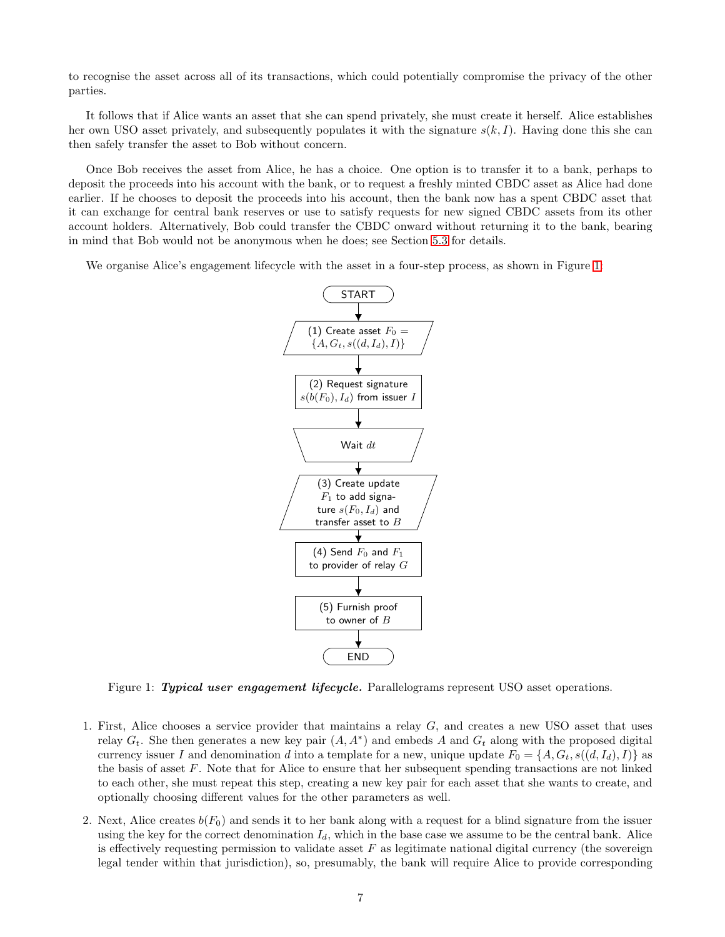to recognise the asset across all of its transactions, which could potentially compromise the privacy of the other parties.

It follows that if Alice wants an asset that she can spend privately, she must create it herself. Alice establishes her own USO asset privately, and subsequently populates it with the signature  $s(k, I)$ . Having done this she can then safely transfer the asset to Bob without concern.

Once Bob receives the asset from Alice, he has a choice. One option is to transfer it to a bank, perhaps to deposit the proceeds into his account with the bank, or to request a freshly minted CBDC asset as Alice had done earlier. If he chooses to deposit the proceeds into his account, then the bank now has a spent CBDC asset that it can exchange for central bank reserves or use to satisfy requests for new signed CBDC assets from its other account holders. Alternatively, Bob could transfer the CBDC onward without returning it to the bank, bearing in mind that Bob would not be anonymous when he does; see Section [5.3](#page-14-0) for details.

We organise Alice's engagement lifecycle with the asset in a four-step process, as shown in Figure [1:](#page-6-0)



<span id="page-6-0"></span>Figure 1: Typical user engagement lifecycle. Parallelograms represent USO asset operations.

- 1. First, Alice chooses a service provider that maintains a relay G, and creates a new USO asset that uses relay  $G_t$ . She then generates a new key pair  $(A, A^*)$  and embeds A and  $G_t$  along with the proposed digital currency issuer I and denomination d into a template for a new, unique update  $F_0 = \{A, G_t, s((d, I_d), I)\}\$ as the basis of asset  $F$ . Note that for Alice to ensure that her subsequent spending transactions are not linked to each other, she must repeat this step, creating a new key pair for each asset that she wants to create, and optionally choosing different values for the other parameters as well.
- 2. Next, Alice creates  $b(F_0)$  and sends it to her bank along with a request for a blind signature from the issuer using the key for the correct denomination  $I_d$ , which in the base case we assume to be the central bank. Alice is effectively requesting permission to validate asset  $F$  as legitimate national digital currency (the sovereign legal tender within that jurisdiction), so, presumably, the bank will require Alice to provide corresponding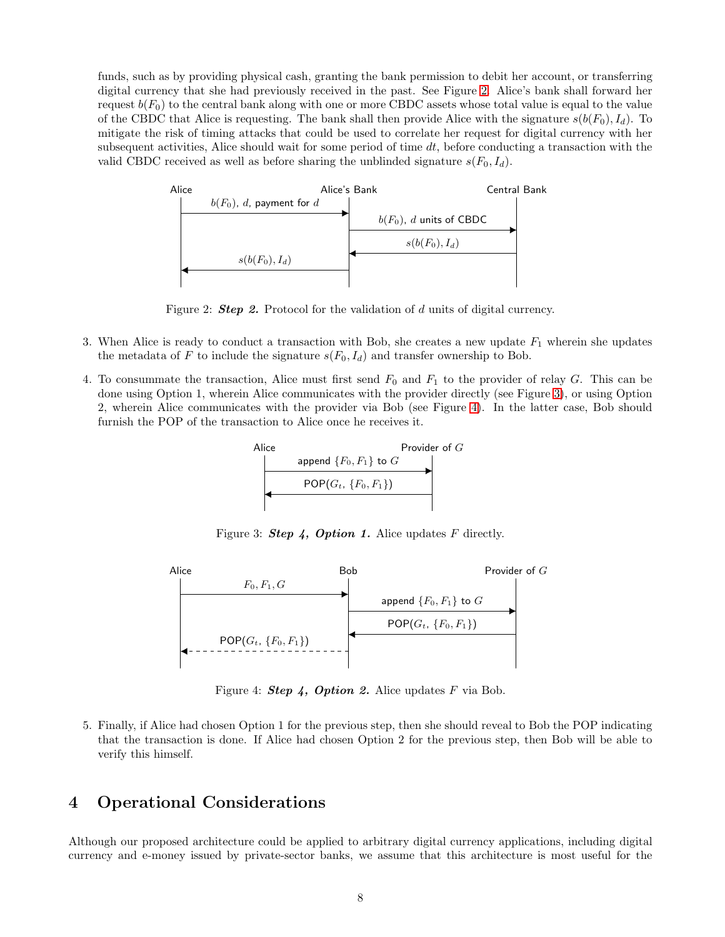funds, such as by providing physical cash, granting the bank permission to debit her account, or transferring digital currency that she had previously received in the past. See Figure [2.](#page-7-0) Alice's bank shall forward her request  $b(F_0)$  to the central bank along with one or more CBDC assets whose total value is equal to the value of the CBDC that Alice is requesting. The bank shall then provide Alice with the signature  $s(b(F_0), I_d)$ . To mitigate the risk of timing attacks that could be used to correlate her request for digital currency with her subsequent activities, Alice should wait for some period of time dt, before conducting a transaction with the valid CBDC received as well as before sharing the unblinded signature  $s(F_0, I_d)$ .



<span id="page-7-0"></span>Figure 2: **Step 2.** Protocol for the validation of d units of digital currency.

- 3. When Alice is ready to conduct a transaction with Bob, she creates a new update  $F_1$  wherein she updates the metadata of F to include the signature  $s(F_0, I_d)$  and transfer ownership to Bob.
- 4. To consummate the transaction, Alice must first send  $F_0$  and  $F_1$  to the provider of relay G. This can be done using Option 1, wherein Alice communicates with the provider directly (see Figure [3\)](#page-7-1), or using Option 2, wherein Alice communicates with the provider via Bob (see Figure [4\)](#page-7-2). In the latter case, Bob should furnish the POP of the transaction to Alice once he receives it.



<span id="page-7-1"></span>Figure 3: **Step 4, Option 1.** Alice updates  $F$  directly.



<span id="page-7-2"></span>Figure 4: **Step 4, Option 2.** Alice updates  $F$  via Bob.

5. Finally, if Alice had chosen Option 1 for the previous step, then she should reveal to Bob the POP indicating that the transaction is done. If Alice had chosen Option 2 for the previous step, then Bob will be able to verify this himself.

# 4 Operational Considerations

Although our proposed architecture could be applied to arbitrary digital currency applications, including digital currency and e-money issued by private-sector banks, we assume that this architecture is most useful for the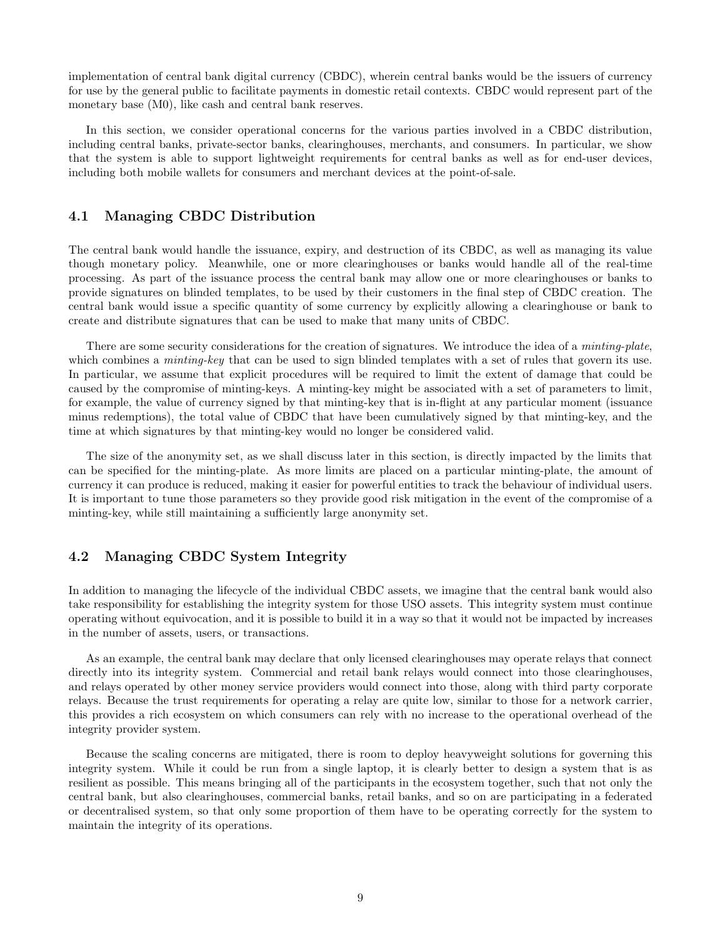implementation of central bank digital currency (CBDC), wherein central banks would be the issuers of currency for use by the general public to facilitate payments in domestic retail contexts. CBDC would represent part of the monetary base (M0), like cash and central bank reserves.

In this section, we consider operational concerns for the various parties involved in a CBDC distribution, including central banks, private-sector banks, clearinghouses, merchants, and consumers. In particular, we show that the system is able to support lightweight requirements for central banks as well as for end-user devices, including both mobile wallets for consumers and merchant devices at the point-of-sale.

### 4.1 Managing CBDC Distribution

The central bank would handle the issuance, expiry, and destruction of its CBDC, as well as managing its value though monetary policy. Meanwhile, one or more clearinghouses or banks would handle all of the real-time processing. As part of the issuance process the central bank may allow one or more clearinghouses or banks to provide signatures on blinded templates, to be used by their customers in the final step of CBDC creation. The central bank would issue a specific quantity of some currency by explicitly allowing a clearinghouse or bank to create and distribute signatures that can be used to make that many units of CBDC.

There are some security considerations for the creation of signatures. We introduce the idea of a *minting-plate*, which combines a *minting-key* that can be used to sign blinded templates with a set of rules that govern its use. In particular, we assume that explicit procedures will be required to limit the extent of damage that could be caused by the compromise of minting-keys. A minting-key might be associated with a set of parameters to limit, for example, the value of currency signed by that minting-key that is in-flight at any particular moment (issuance minus redemptions), the total value of CBDC that have been cumulatively signed by that minting-key, and the time at which signatures by that minting-key would no longer be considered valid.

The size of the anonymity set, as we shall discuss later in this section, is directly impacted by the limits that can be specified for the minting-plate. As more limits are placed on a particular minting-plate, the amount of currency it can produce is reduced, making it easier for powerful entities to track the behaviour of individual users. It is important to tune those parameters so they provide good risk mitigation in the event of the compromise of a minting-key, while still maintaining a sufficiently large anonymity set.

## 4.2 Managing CBDC System Integrity

In addition to managing the lifecycle of the individual CBDC assets, we imagine that the central bank would also take responsibility for establishing the integrity system for those USO assets. This integrity system must continue operating without equivocation, and it is possible to build it in a way so that it would not be impacted by increases in the number of assets, users, or transactions.

As an example, the central bank may declare that only licensed clearinghouses may operate relays that connect directly into its integrity system. Commercial and retail bank relays would connect into those clearinghouses, and relays operated by other money service providers would connect into those, along with third party corporate relays. Because the trust requirements for operating a relay are quite low, similar to those for a network carrier, this provides a rich ecosystem on which consumers can rely with no increase to the operational overhead of the integrity provider system.

Because the scaling concerns are mitigated, there is room to deploy heavyweight solutions for governing this integrity system. While it could be run from a single laptop, it is clearly better to design a system that is as resilient as possible. This means bringing all of the participants in the ecosystem together, such that not only the central bank, but also clearinghouses, commercial banks, retail banks, and so on are participating in a federated or decentralised system, so that only some proportion of them have to be operating correctly for the system to maintain the integrity of its operations.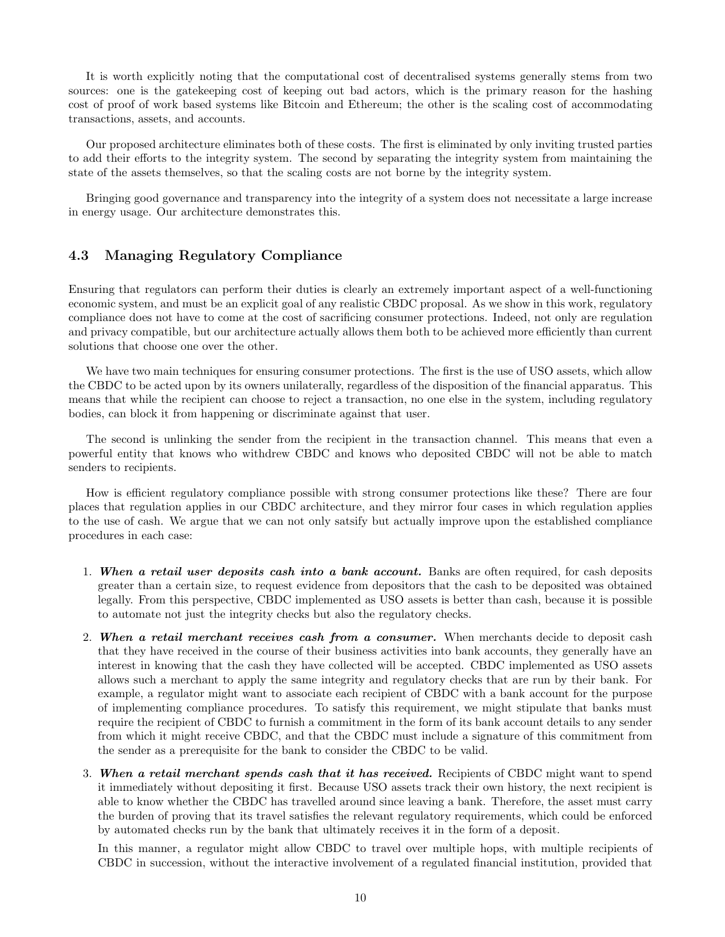It is worth explicitly noting that the computational cost of decentralised systems generally stems from two sources: one is the gatekeeping cost of keeping out bad actors, which is the primary reason for the hashing cost of proof of work based systems like Bitcoin and Ethereum; the other is the scaling cost of accommodating transactions, assets, and accounts.

Our proposed architecture eliminates both of these costs. The first is eliminated by only inviting trusted parties to add their efforts to the integrity system. The second by separating the integrity system from maintaining the state of the assets themselves, so that the scaling costs are not borne by the integrity system.

Bringing good governance and transparency into the integrity of a system does not necessitate a large increase in energy usage. Our architecture demonstrates this.

### 4.3 Managing Regulatory Compliance

Ensuring that regulators can perform their duties is clearly an extremely important aspect of a well-functioning economic system, and must be an explicit goal of any realistic CBDC proposal. As we show in this work, regulatory compliance does not have to come at the cost of sacrificing consumer protections. Indeed, not only are regulation and privacy compatible, but our architecture actually allows them both to be achieved more efficiently than current solutions that choose one over the other.

We have two main techniques for ensuring consumer protections. The first is the use of USO assets, which allow the CBDC to be acted upon by its owners unilaterally, regardless of the disposition of the financial apparatus. This means that while the recipient can choose to reject a transaction, no one else in the system, including regulatory bodies, can block it from happening or discriminate against that user.

The second is unlinking the sender from the recipient in the transaction channel. This means that even a powerful entity that knows who withdrew CBDC and knows who deposited CBDC will not be able to match senders to recipients.

How is efficient regulatory compliance possible with strong consumer protections like these? There are four places that regulation applies in our CBDC architecture, and they mirror four cases in which regulation applies to the use of cash. We argue that we can not only satsify but actually improve upon the established compliance procedures in each case:

- 1. When a retail user deposits cash into a bank account. Banks are often required, for cash deposits greater than a certain size, to request evidence from depositors that the cash to be deposited was obtained legally. From this perspective, CBDC implemented as USO assets is better than cash, because it is possible to automate not just the integrity checks but also the regulatory checks.
- 2. When a retail merchant receives cash from a consumer. When merchants decide to deposit cash that they have received in the course of their business activities into bank accounts, they generally have an interest in knowing that the cash they have collected will be accepted. CBDC implemented as USO assets allows such a merchant to apply the same integrity and regulatory checks that are run by their bank. For example, a regulator might want to associate each recipient of CBDC with a bank account for the purpose of implementing compliance procedures. To satisfy this requirement, we might stipulate that banks must require the recipient of CBDC to furnish a commitment in the form of its bank account details to any sender from which it might receive CBDC, and that the CBDC must include a signature of this commitment from the sender as a prerequisite for the bank to consider the CBDC to be valid.
- 3. When a retail merchant spends cash that it has received. Recipients of CBDC might want to spend it immediately without depositing it first. Because USO assets track their own history, the next recipient is able to know whether the CBDC has travelled around since leaving a bank. Therefore, the asset must carry the burden of proving that its travel satisfies the relevant regulatory requirements, which could be enforced by automated checks run by the bank that ultimately receives it in the form of a deposit.

In this manner, a regulator might allow CBDC to travel over multiple hops, with multiple recipients of CBDC in succession, without the interactive involvement of a regulated financial institution, provided that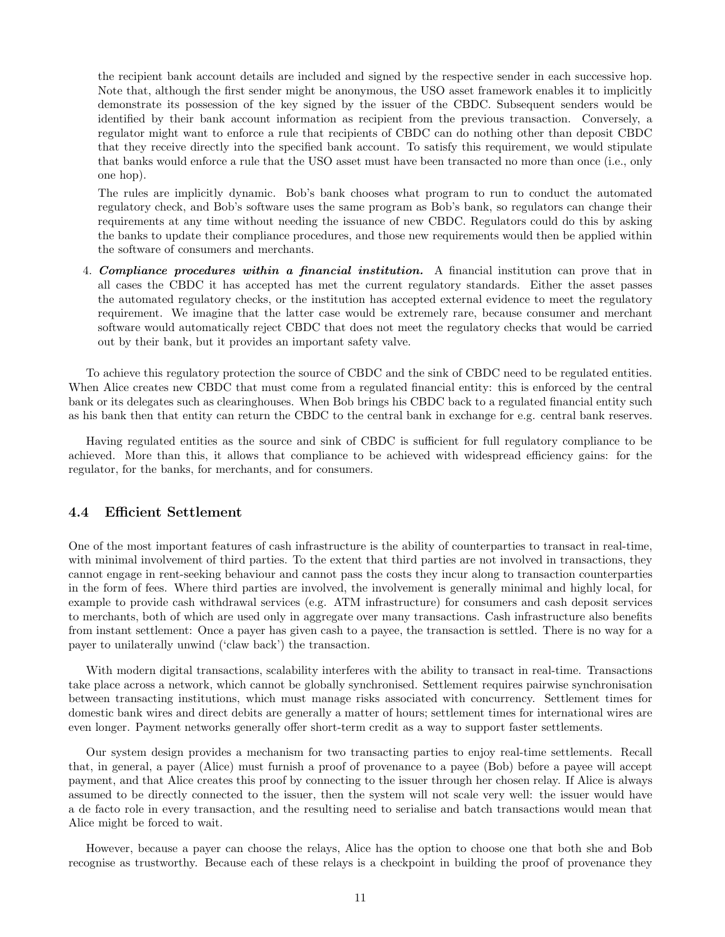the recipient bank account details are included and signed by the respective sender in each successive hop. Note that, although the first sender might be anonymous, the USO asset framework enables it to implicitly demonstrate its possession of the key signed by the issuer of the CBDC. Subsequent senders would be identified by their bank account information as recipient from the previous transaction. Conversely, a regulator might want to enforce a rule that recipients of CBDC can do nothing other than deposit CBDC that they receive directly into the specified bank account. To satisfy this requirement, we would stipulate that banks would enforce a rule that the USO asset must have been transacted no more than once (i.e., only one hop).

The rules are implicitly dynamic. Bob's bank chooses what program to run to conduct the automated regulatory check, and Bob's software uses the same program as Bob's bank, so regulators can change their requirements at any time without needing the issuance of new CBDC. Regulators could do this by asking the banks to update their compliance procedures, and those new requirements would then be applied within the software of consumers and merchants.

4. Compliance procedures within a financial institution. A financial institution can prove that in all cases the CBDC it has accepted has met the current regulatory standards. Either the asset passes the automated regulatory checks, or the institution has accepted external evidence to meet the regulatory requirement. We imagine that the latter case would be extremely rare, because consumer and merchant software would automatically reject CBDC that does not meet the regulatory checks that would be carried out by their bank, but it provides an important safety valve.

To achieve this regulatory protection the source of CBDC and the sink of CBDC need to be regulated entities. When Alice creates new CBDC that must come from a regulated financial entity: this is enforced by the central bank or its delegates such as clearinghouses. When Bob brings his CBDC back to a regulated financial entity such as his bank then that entity can return the CBDC to the central bank in exchange for e.g. central bank reserves.

Having regulated entities as the source and sink of CBDC is sufficient for full regulatory compliance to be achieved. More than this, it allows that compliance to be achieved with widespread efficiency gains: for the regulator, for the banks, for merchants, and for consumers.

### <span id="page-10-0"></span>4.4 Efficient Settlement

One of the most important features of cash infrastructure is the ability of counterparties to transact in real-time, with minimal involvement of third parties. To the extent that third parties are not involved in transactions, they cannot engage in rent-seeking behaviour and cannot pass the costs they incur along to transaction counterparties in the form of fees. Where third parties are involved, the involvement is generally minimal and highly local, for example to provide cash withdrawal services (e.g. ATM infrastructure) for consumers and cash deposit services to merchants, both of which are used only in aggregate over many transactions. Cash infrastructure also benefits from instant settlement: Once a payer has given cash to a payee, the transaction is settled. There is no way for a payer to unilaterally unwind ('claw back') the transaction.

With modern digital transactions, scalability interferes with the ability to transact in real-time. Transactions take place across a network, which cannot be globally synchronised. Settlement requires pairwise synchronisation between transacting institutions, which must manage risks associated with concurrency. Settlement times for domestic bank wires and direct debits are generally a matter of hours; settlement times for international wires are even longer. Payment networks generally offer short-term credit as a way to support faster settlements.

Our system design provides a mechanism for two transacting parties to enjoy real-time settlements. Recall that, in general, a payer (Alice) must furnish a proof of provenance to a payee (Bob) before a payee will accept payment, and that Alice creates this proof by connecting to the issuer through her chosen relay. If Alice is always assumed to be directly connected to the issuer, then the system will not scale very well: the issuer would have a de facto role in every transaction, and the resulting need to serialise and batch transactions would mean that Alice might be forced to wait.

However, because a payer can choose the relays, Alice has the option to choose one that both she and Bob recognise as trustworthy. Because each of these relays is a checkpoint in building the proof of provenance they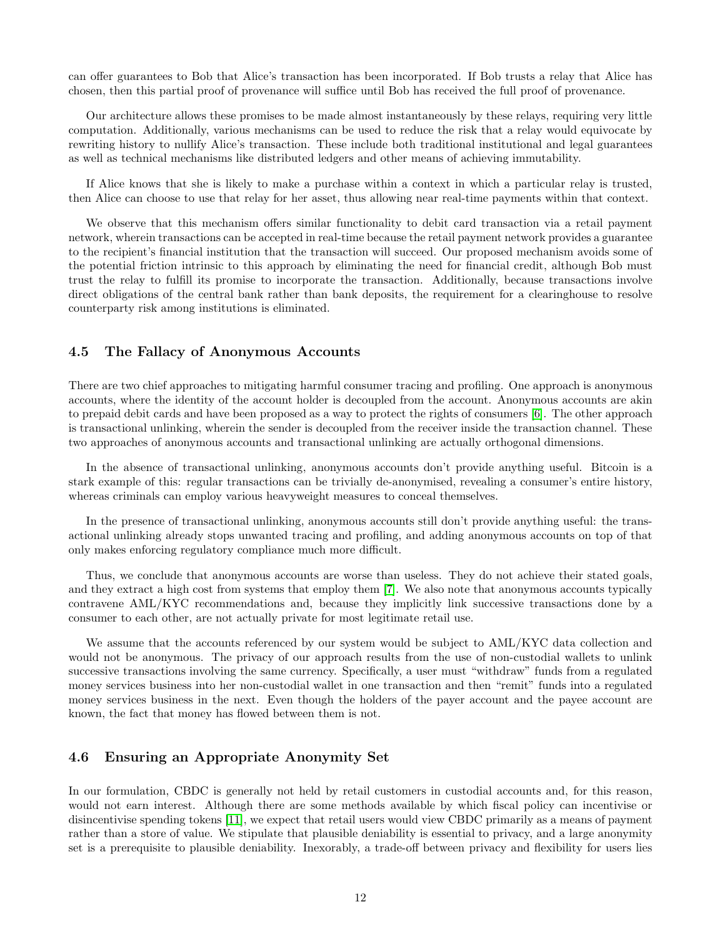can offer guarantees to Bob that Alice's transaction has been incorporated. If Bob trusts a relay that Alice has chosen, then this partial proof of provenance will suffice until Bob has received the full proof of provenance.

Our architecture allows these promises to be made almost instantaneously by these relays, requiring very little computation. Additionally, various mechanisms can be used to reduce the risk that a relay would equivocate by rewriting history to nullify Alice's transaction. These include both traditional institutional and legal guarantees as well as technical mechanisms like distributed ledgers and other means of achieving immutability.

If Alice knows that she is likely to make a purchase within a context in which a particular relay is trusted, then Alice can choose to use that relay for her asset, thus allowing near real-time payments within that context.

We observe that this mechanism offers similar functionality to debit card transaction via a retail payment network, wherein transactions can be accepted in real-time because the retail payment network provides a guarantee to the recipient's financial institution that the transaction will succeed. Our proposed mechanism avoids some of the potential friction intrinsic to this approach by eliminating the need for financial credit, although Bob must trust the relay to fulfill its promise to incorporate the transaction. Additionally, because transactions involve direct obligations of the central bank rather than bank deposits, the requirement for a clearinghouse to resolve counterparty risk among institutions is eliminated.

### 4.5 The Fallacy of Anonymous Accounts

There are two chief approaches to mitigating harmful consumer tracing and profiling. One approach is anonymous accounts, where the identity of the account holder is decoupled from the account. Anonymous accounts are akin to prepaid debit cards and have been proposed as a way to protect the rights of consumers [\[6\]](#page-18-5). The other approach is transactional unlinking, wherein the sender is decoupled from the receiver inside the transaction channel. These two approaches of anonymous accounts and transactional unlinking are actually orthogonal dimensions.

In the absence of transactional unlinking, anonymous accounts don't provide anything useful. Bitcoin is a stark example of this: regular transactions can be trivially de-anonymised, revealing a consumer's entire history, whereas criminals can employ various heavyweight measures to conceal themselves.

In the presence of transactional unlinking, anonymous accounts still don't provide anything useful: the transactional unlinking already stops unwanted tracing and profiling, and adding anonymous accounts on top of that only makes enforcing regulatory compliance much more difficult.

Thus, we conclude that anonymous accounts are worse than useless. They do not achieve their stated goals, and they extract a high cost from systems that employ them [\[7\]](#page-18-6). We also note that anonymous accounts typically contravene AML/KYC recommendations and, because they implicitly link successive transactions done by a consumer to each other, are not actually private for most legitimate retail use.

We assume that the accounts referenced by our system would be subject to  $\text{AML}/\text{KYC}$  data collection and would not be anonymous. The privacy of our approach results from the use of non-custodial wallets to unlink successive transactions involving the same currency. Specifically, a user must "withdraw" funds from a regulated money services business into her non-custodial wallet in one transaction and then "remit" funds into a regulated money services business in the next. Even though the holders of the payer account and the payee account are known, the fact that money has flowed between them is not.

### 4.6 Ensuring an Appropriate Anonymity Set

In our formulation, CBDC is generally not held by retail customers in custodial accounts and, for this reason, would not earn interest. Although there are some methods available by which fiscal policy can incentivise or disincentivise spending tokens [\[11\]](#page-18-7), we expect that retail users would view CBDC primarily as a means of payment rather than a store of value. We stipulate that plausible deniability is essential to privacy, and a large anonymity set is a prerequisite to plausible deniability. Inexorably, a trade-off between privacy and flexibility for users lies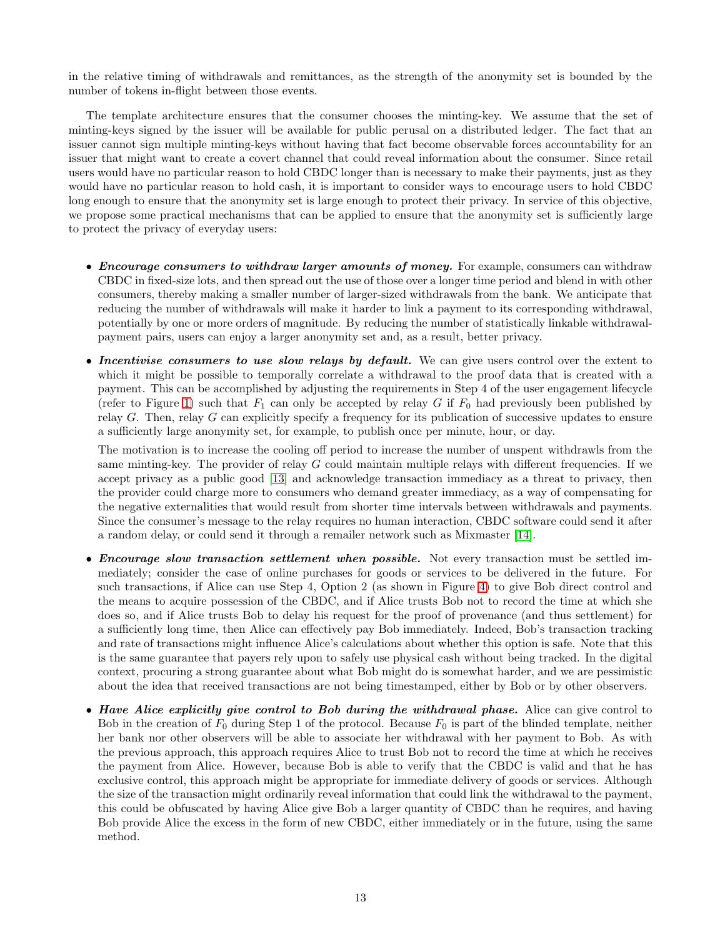in the relative timing of withdrawals and remittances, as the strength of the anonymity set is bounded by the number of tokens in-flight between those events.

The template architecture ensures that the consumer chooses the minting-key. We assume that the set of minting-keys signed by the issuer will be available for public perusal on a distributed ledger. The fact that an issuer cannot sign multiple minting-keys without having that fact become observable forces accountability for an issuer that might want to create a covert channel that could reveal information about the consumer. Since retail users would have no particular reason to hold CBDC longer than is necessary to make their payments, just as they would have no particular reason to hold cash, it is important to consider ways to encourage users to hold CBDC long enough to ensure that the anonymity set is large enough to protect their privacy. In service of this objective, we propose some practical mechanisms that can be applied to ensure that the anonymity set is sufficiently large to protect the privacy of everyday users:

- Encourage consumers to withdraw larger amounts of money. For example, consumers can withdraw CBDC in fixed-size lots, and then spread out the use of those over a longer time period and blend in with other consumers, thereby making a smaller number of larger-sized withdrawals from the bank. We anticipate that reducing the number of withdrawals will make it harder to link a payment to its corresponding withdrawal, potentially by one or more orders of magnitude. By reducing the number of statistically linkable withdrawalpayment pairs, users can enjoy a larger anonymity set and, as a result, better privacy.
- Incentivise consumers to use slow relays by default. We can give users control over the extent to which it might be possible to temporally correlate a withdrawal to the proof data that is created with a payment. This can be accomplished by adjusting the requirements in Step 4 of the user engagement lifecycle (refer to Figure [1\)](#page-6-0) such that  $F_1$  can only be accepted by relay G if  $F_0$  had previously been published by relay G. Then, relay G can explicitly specify a frequency for its publication of successive updates to ensure a sufficiently large anonymity set, for example, to publish once per minute, hour, or day.

The motivation is to increase the cooling off period to increase the number of unspent withdrawls from the same minting-key. The provider of relay  $G$  could maintain multiple relays with different frequencies. If we accept privacy as a public good [\[13\]](#page-18-8) and acknowledge transaction immediacy as a threat to privacy, then the provider could charge more to consumers who demand greater immediacy, as a way of compensating for the negative externalities that would result from shorter time intervals between withdrawals and payments. Since the consumer's message to the relay requires no human interaction, CBDC software could send it after a random delay, or could send it through a remailer network such as Mixmaster [\[14\]](#page-18-9).

- Encourage slow transaction settlement when possible. Not every transaction must be settled immediately; consider the case of online purchases for goods or services to be delivered in the future. For such transactions, if Alice can use Step 4, Option 2 (as shown in Figure [4\)](#page-7-2) to give Bob direct control and the means to acquire possession of the CBDC, and if Alice trusts Bob not to record the time at which she does so, and if Alice trusts Bob to delay his request for the proof of provenance (and thus settlement) for a sufficiently long time, then Alice can effectively pay Bob immediately. Indeed, Bob's transaction tracking and rate of transactions might influence Alice's calculations about whether this option is safe. Note that this is the same guarantee that payers rely upon to safely use physical cash without being tracked. In the digital context, procuring a strong guarantee about what Bob might do is somewhat harder, and we are pessimistic about the idea that received transactions are not being timestamped, either by Bob or by other observers.
- Have Alice explicitly give control to Bob during the withdrawal phase. Alice can give control to Bob in the creation of  $F_0$  during Step 1 of the protocol. Because  $F_0$  is part of the blinded template, neither her bank nor other observers will be able to associate her withdrawal with her payment to Bob. As with the previous approach, this approach requires Alice to trust Bob not to record the time at which he receives the payment from Alice. However, because Bob is able to verify that the CBDC is valid and that he has exclusive control, this approach might be appropriate for immediate delivery of goods or services. Although the size of the transaction might ordinarily reveal information that could link the withdrawal to the payment, this could be obfuscated by having Alice give Bob a larger quantity of CBDC than he requires, and having Bob provide Alice the excess in the form of new CBDC, either immediately or in the future, using the same method.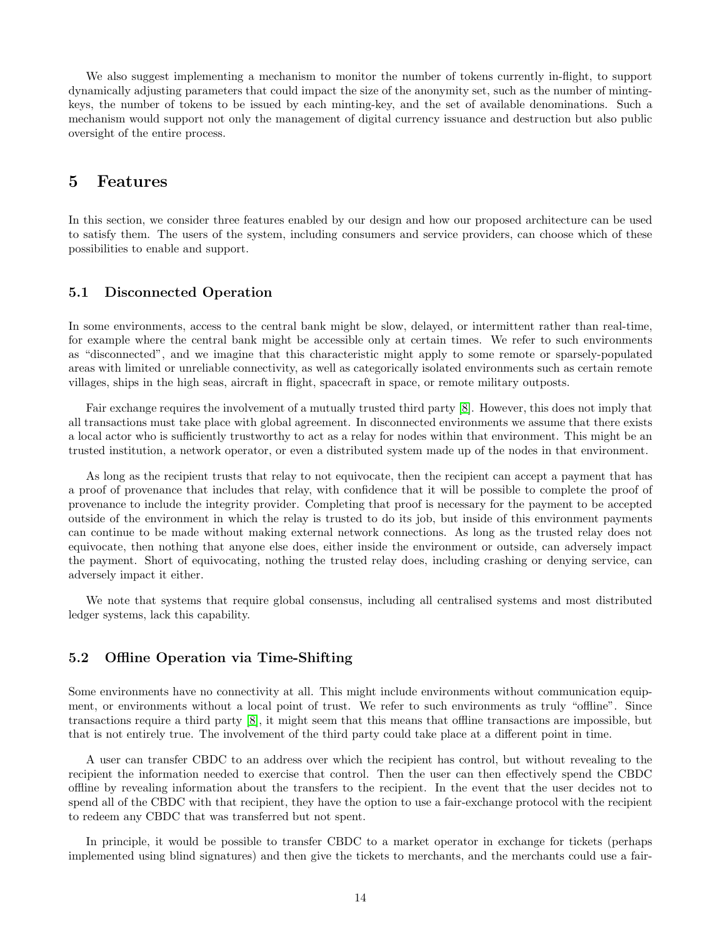We also suggest implementing a mechanism to monitor the number of tokens currently in-flight, to support dynamically adjusting parameters that could impact the size of the anonymity set, such as the number of mintingkeys, the number of tokens to be issued by each minting-key, and the set of available denominations. Such a mechanism would support not only the management of digital currency issuance and destruction but also public oversight of the entire process.

# 5 Features

In this section, we consider three features enabled by our design and how our proposed architecture can be used to satisfy them. The users of the system, including consumers and service providers, can choose which of these possibilities to enable and support.

### 5.1 Disconnected Operation

In some environments, access to the central bank might be slow, delayed, or intermittent rather than real-time, for example where the central bank might be accessible only at certain times. We refer to such environments as "disconnected", and we imagine that this characteristic might apply to some remote or sparsely-populated areas with limited or unreliable connectivity, as well as categorically isolated environments such as certain remote villages, ships in the high seas, aircraft in flight, spacecraft in space, or remote military outposts.

Fair exchange requires the involvement of a mutually trusted third party [\[8\]](#page-18-10). However, this does not imply that all transactions must take place with global agreement. In disconnected environments we assume that there exists a local actor who is sufficiently trustworthy to act as a relay for nodes within that environment. This might be an trusted institution, a network operator, or even a distributed system made up of the nodes in that environment.

As long as the recipient trusts that relay to not equivocate, then the recipient can accept a payment that has a proof of provenance that includes that relay, with confidence that it will be possible to complete the proof of provenance to include the integrity provider. Completing that proof is necessary for the payment to be accepted outside of the environment in which the relay is trusted to do its job, but inside of this environment payments can continue to be made without making external network connections. As long as the trusted relay does not equivocate, then nothing that anyone else does, either inside the environment or outside, can adversely impact the payment. Short of equivocating, nothing the trusted relay does, including crashing or denying service, can adversely impact it either.

We note that systems that require global consensus, including all centralised systems and most distributed ledger systems, lack this capability.

### <span id="page-13-0"></span>5.2 Offline Operation via Time-Shifting

Some environments have no connectivity at all. This might include environments without communication equipment, or environments without a local point of trust. We refer to such environments as truly "offline". Since transactions require a third party [\[8\]](#page-18-10), it might seem that this means that offline transactions are impossible, but that is not entirely true. The involvement of the third party could take place at a different point in time.

A user can transfer CBDC to an address over which the recipient has control, but without revealing to the recipient the information needed to exercise that control. Then the user can then effectively spend the CBDC offline by revealing information about the transfers to the recipient. In the event that the user decides not to spend all of the CBDC with that recipient, they have the option to use a fair-exchange protocol with the recipient to redeem any CBDC that was transferred but not spent.

In principle, it would be possible to transfer CBDC to a market operator in exchange for tickets (perhaps implemented using blind signatures) and then give the tickets to merchants, and the merchants could use a fair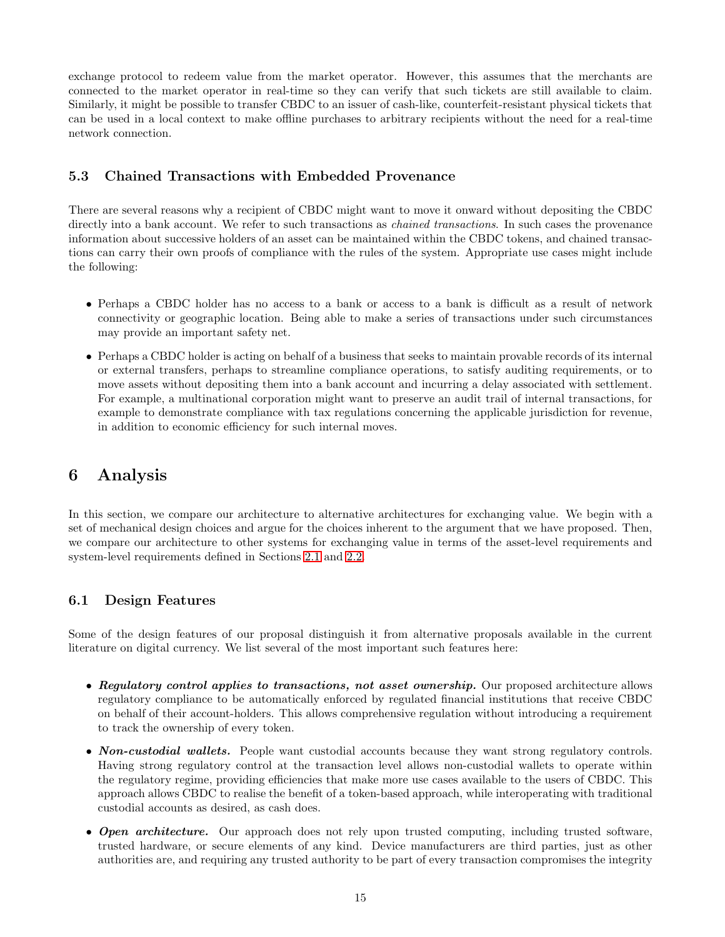exchange protocol to redeem value from the market operator. However, this assumes that the merchants are connected to the market operator in real-time so they can verify that such tickets are still available to claim. Similarly, it might be possible to transfer CBDC to an issuer of cash-like, counterfeit-resistant physical tickets that can be used in a local context to make offline purchases to arbitrary recipients without the need for a real-time network connection.

## <span id="page-14-0"></span>5.3 Chained Transactions with Embedded Provenance

There are several reasons why a recipient of CBDC might want to move it onward without depositing the CBDC directly into a bank account. We refer to such transactions as *chained transactions*. In such cases the provenance information about successive holders of an asset can be maintained within the CBDC tokens, and chained transactions can carry their own proofs of compliance with the rules of the system. Appropriate use cases might include the following:

- Perhaps a CBDC holder has no access to a bank or access to a bank is difficult as a result of network connectivity or geographic location. Being able to make a series of transactions under such circumstances may provide an important safety net.
- Perhaps a CBDC holder is acting on behalf of a business that seeks to maintain provable records of its internal or external transfers, perhaps to streamline compliance operations, to satisfy auditing requirements, or to move assets without depositing them into a bank account and incurring a delay associated with settlement. For example, a multinational corporation might want to preserve an audit trail of internal transactions, for example to demonstrate compliance with tax regulations concerning the applicable jurisdiction for revenue, in addition to economic efficiency for such internal moves.

# 6 Analysis

In this section, we compare our architecture to alternative architectures for exchanging value. We begin with a set of mechanical design choices and argue for the choices inherent to the argument that we have proposed. Then, we compare our architecture to other systems for exchanging value in terms of the asset-level requirements and system-level requirements defined in Sections [2.1](#page-1-2) and [2.2.](#page-2-2)

## 6.1 Design Features

Some of the design features of our proposal distinguish it from alternative proposals available in the current literature on digital currency. We list several of the most important such features here:

- Regulatory control applies to transactions, not asset ownership. Our proposed architecture allows regulatory compliance to be automatically enforced by regulated financial institutions that receive CBDC on behalf of their account-holders. This allows comprehensive regulation without introducing a requirement to track the ownership of every token.
- Non-custodial wallets. People want custodial accounts because they want strong regulatory controls. Having strong regulatory control at the transaction level allows non-custodial wallets to operate within the regulatory regime, providing efficiencies that make more use cases available to the users of CBDC. This approach allows CBDC to realise the benefit of a token-based approach, while interoperating with traditional custodial accounts as desired, as cash does.
- Open architecture. Our approach does not rely upon trusted computing, including trusted software, trusted hardware, or secure elements of any kind. Device manufacturers are third parties, just as other authorities are, and requiring any trusted authority to be part of every transaction compromises the integrity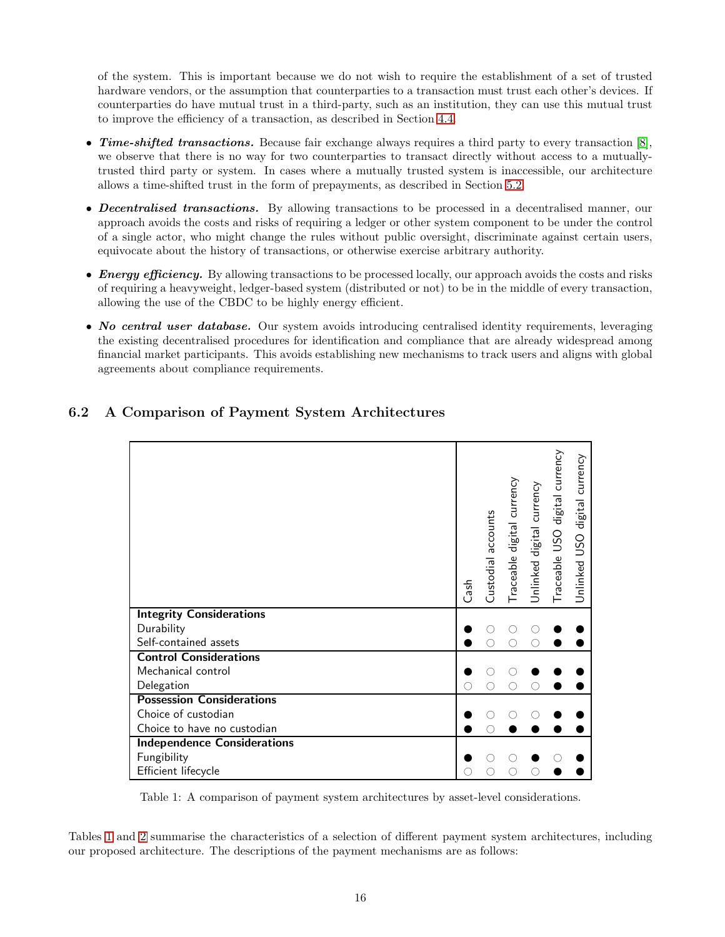of the system. This is important because we do not wish to require the establishment of a set of trusted hardware vendors, or the assumption that counterparties to a transaction must trust each other's devices. If counterparties do have mutual trust in a third-party, such as an institution, they can use this mutual trust to improve the efficiency of a transaction, as described in Section [4.4.](#page-10-0)

- Time-shifted transactions. Because fair exchange always requires a third party to every transaction  $[8]$ , we observe that there is no way for two counterparties to transact directly without access to a mutuallytrusted third party or system. In cases where a mutually trusted system is inaccessible, our architecture allows a time-shifted trust in the form of prepayments, as described in Section [5.2.](#page-13-0)
- Decentralised transactions. By allowing transactions to be processed in a decentralised manner, our approach avoids the costs and risks of requiring a ledger or other system component to be under the control of a single actor, who might change the rules without public oversight, discriminate against certain users, equivocate about the history of transactions, or otherwise exercise arbitrary authority.
- Energy efficiency. By allowing transactions to be processed locally, our approach avoids the costs and risks of requiring a heavyweight, ledger-based system (distributed or not) to be in the middle of every transaction, allowing the use of the CBDC to be highly energy efficient.
- No central user database. Our system avoids introducing centralised identity requirements, leveraging the existing decentralised procedures for identification and compliance that are already widespread among financial market participants. This avoids establishing new mechanisms to track users and aligns with global agreements about compliance requirements.

|                                    | Cash | Custodial accounts | Traceable digital currency | Unlinked digital currency | Traceable USO digital currency | currency<br>Unlinked USO digital |
|------------------------------------|------|--------------------|----------------------------|---------------------------|--------------------------------|----------------------------------|
| <b>Integrity Considerations</b>    |      |                    |                            |                           |                                |                                  |
| Durability                         |      |                    |                            |                           |                                |                                  |
| Self-contained assets              |      | ∩                  | €                          | ∩                         |                                |                                  |
| <b>Control Considerations</b>      |      |                    |                            |                           |                                |                                  |
| Mechanical control                 |      |                    |                            |                           |                                |                                  |
| Delegation                         | ∩    | ∩                  | ∩                          |                           |                                |                                  |
| <b>Possession Considerations</b>   |      |                    |                            |                           |                                |                                  |
| Choice of custodian                |      |                    |                            |                           |                                |                                  |
| Choice to have no custodian        |      |                    |                            |                           |                                |                                  |
| <b>Independence Considerations</b> |      |                    |                            |                           |                                |                                  |
| Fungibility                        |      |                    |                            |                           |                                |                                  |
| Efficient lifecycle                |      |                    |                            |                           |                                |                                  |

# 6.2 A Comparison of Payment System Architectures

<span id="page-15-0"></span>Table 1: A comparison of payment system architectures by asset-level considerations.

Tables [1](#page-15-0) and [2](#page-16-0) summarise the characteristics of a selection of different payment system architectures, including our proposed architecture. The descriptions of the payment mechanisms are as follows: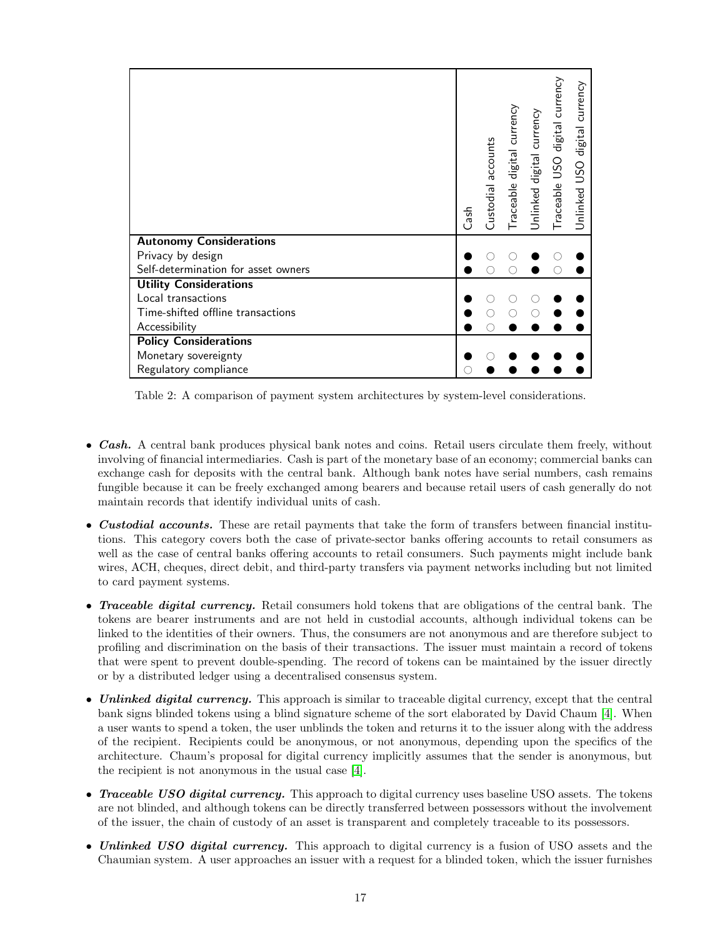|                                     | Cash | Custodial accounts | Traceable digital currency | Unlinked digital currency | digital currency<br>Traceable USO | currency<br>digital<br>Unlinked USO |
|-------------------------------------|------|--------------------|----------------------------|---------------------------|-----------------------------------|-------------------------------------|
| <b>Autonomy Considerations</b>      |      |                    |                            |                           |                                   |                                     |
| Privacy by design                   |      |                    |                            |                           |                                   |                                     |
| Self-determination for asset owners |      |                    |                            |                           |                                   |                                     |
| <b>Utility Considerations</b>       |      |                    |                            |                           |                                   |                                     |
| Local transactions                  |      |                    |                            |                           |                                   |                                     |
| Time-shifted offline transactions   |      |                    |                            |                           |                                   |                                     |
| Accessibility                       |      |                    |                            |                           |                                   |                                     |
| <b>Policy Considerations</b>        |      |                    |                            |                           |                                   |                                     |
| Monetary sovereignty                |      |                    |                            |                           |                                   |                                     |
| Regulatory compliance               |      |                    |                            |                           |                                   |                                     |

<span id="page-16-0"></span>Table 2: A comparison of payment system architectures by system-level considerations.

- Cash. A central bank produces physical bank notes and coins. Retail users circulate them freely, without involving of financial intermediaries. Cash is part of the monetary base of an economy; commercial banks can exchange cash for deposits with the central bank. Although bank notes have serial numbers, cash remains fungible because it can be freely exchanged among bearers and because retail users of cash generally do not maintain records that identify individual units of cash.
- Custodial accounts. These are retail payments that take the form of transfers between financial institutions. This category covers both the case of private-sector banks offering accounts to retail consumers as well as the case of central banks offering accounts to retail consumers. Such payments might include bank wires, ACH, cheques, direct debit, and third-party transfers via payment networks including but not limited to card payment systems.
- Traceable digital currency. Retail consumers hold tokens that are obligations of the central bank. The tokens are bearer instruments and are not held in custodial accounts, although individual tokens can be linked to the identities of their owners. Thus, the consumers are not anonymous and are therefore subject to profiling and discrimination on the basis of their transactions. The issuer must maintain a record of tokens that were spent to prevent double-spending. The record of tokens can be maintained by the issuer directly or by a distributed ledger using a decentralised consensus system.
- Unlinked digital currency. This approach is similar to traceable digital currency, except that the central bank signs blinded tokens using a blind signature scheme of the sort elaborated by David Chaum [\[4\]](#page-18-3). When a user wants to spend a token, the user unblinds the token and returns it to the issuer along with the address of the recipient. Recipients could be anonymous, or not anonymous, depending upon the specifics of the architecture. Chaum's proposal for digital currency implicitly assumes that the sender is anonymous, but the recipient is not anonymous in the usual case [\[4\]](#page-18-3).
- Traceable USO digital currency. This approach to digital currency uses baseline USO assets. The tokens are not blinded, and although tokens can be directly transferred between possessors without the involvement of the issuer, the chain of custody of an asset is transparent and completely traceable to its possessors.
- Unlinked USO digital currency. This approach to digital currency is a fusion of USO assets and the Chaumian system. A user approaches an issuer with a request for a blinded token, which the issuer furnishes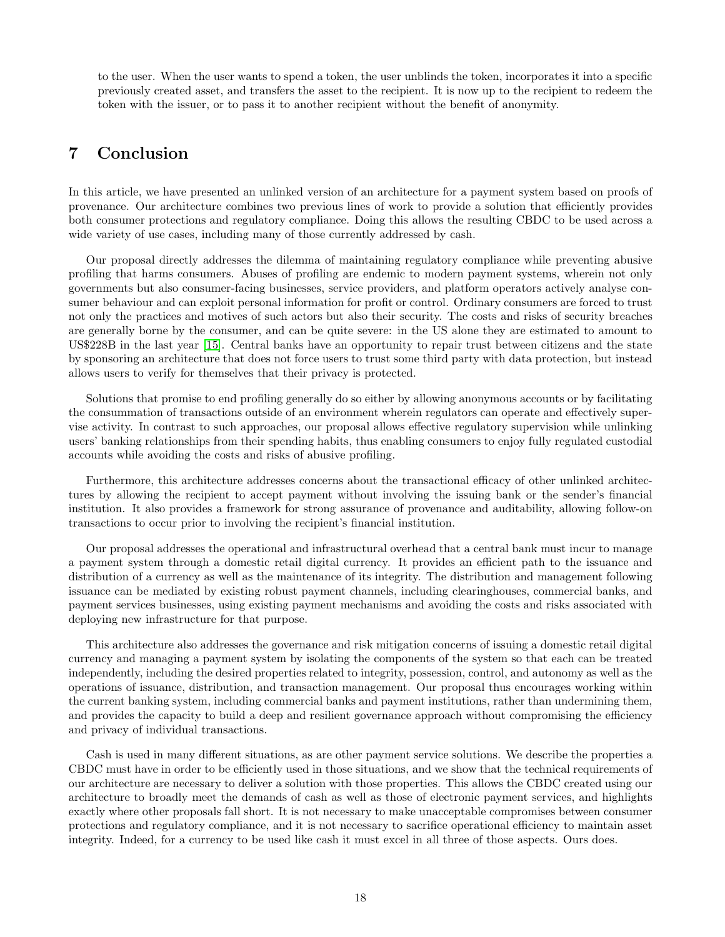to the user. When the user wants to spend a token, the user unblinds the token, incorporates it into a specific previously created asset, and transfers the asset to the recipient. It is now up to the recipient to redeem the token with the issuer, or to pass it to another recipient without the benefit of anonymity.

# 7 Conclusion

In this article, we have presented an unlinked version of an architecture for a payment system based on proofs of provenance. Our architecture combines two previous lines of work to provide a solution that efficiently provides both consumer protections and regulatory compliance. Doing this allows the resulting CBDC to be used across a wide variety of use cases, including many of those currently addressed by cash.

Our proposal directly addresses the dilemma of maintaining regulatory compliance while preventing abusive profiling that harms consumers. Abuses of profiling are endemic to modern payment systems, wherein not only governments but also consumer-facing businesses, service providers, and platform operators actively analyse consumer behaviour and can exploit personal information for profit or control. Ordinary consumers are forced to trust not only the practices and motives of such actors but also their security. The costs and risks of security breaches are generally borne by the consumer, and can be quite severe: in the US alone they are estimated to amount to US\$228B in the last year [\[15\]](#page-18-11). Central banks have an opportunity to repair trust between citizens and the state by sponsoring an architecture that does not force users to trust some third party with data protection, but instead allows users to verify for themselves that their privacy is protected.

Solutions that promise to end profiling generally do so either by allowing anonymous accounts or by facilitating the consummation of transactions outside of an environment wherein regulators can operate and effectively supervise activity. In contrast to such approaches, our proposal allows effective regulatory supervision while unlinking users' banking relationships from their spending habits, thus enabling consumers to enjoy fully regulated custodial accounts while avoiding the costs and risks of abusive profiling.

Furthermore, this architecture addresses concerns about the transactional efficacy of other unlinked architectures by allowing the recipient to accept payment without involving the issuing bank or the sender's financial institution. It also provides a framework for strong assurance of provenance and auditability, allowing follow-on transactions to occur prior to involving the recipient's financial institution.

Our proposal addresses the operational and infrastructural overhead that a central bank must incur to manage a payment system through a domestic retail digital currency. It provides an efficient path to the issuance and distribution of a currency as well as the maintenance of its integrity. The distribution and management following issuance can be mediated by existing robust payment channels, including clearinghouses, commercial banks, and payment services businesses, using existing payment mechanisms and avoiding the costs and risks associated with deploying new infrastructure for that purpose.

This architecture also addresses the governance and risk mitigation concerns of issuing a domestic retail digital currency and managing a payment system by isolating the components of the system so that each can be treated independently, including the desired properties related to integrity, possession, control, and autonomy as well as the operations of issuance, distribution, and transaction management. Our proposal thus encourages working within the current banking system, including commercial banks and payment institutions, rather than undermining them, and provides the capacity to build a deep and resilient governance approach without compromising the efficiency and privacy of individual transactions.

Cash is used in many different situations, as are other payment service solutions. We describe the properties a CBDC must have in order to be efficiently used in those situations, and we show that the technical requirements of our architecture are necessary to deliver a solution with those properties. This allows the CBDC created using our architecture to broadly meet the demands of cash as well as those of electronic payment services, and highlights exactly where other proposals fall short. It is not necessary to make unacceptable compromises between consumer protections and regulatory compliance, and it is not necessary to sacrifice operational efficiency to maintain asset integrity. Indeed, for a currency to be used like cash it must excel in all three of those aspects. Ours does.